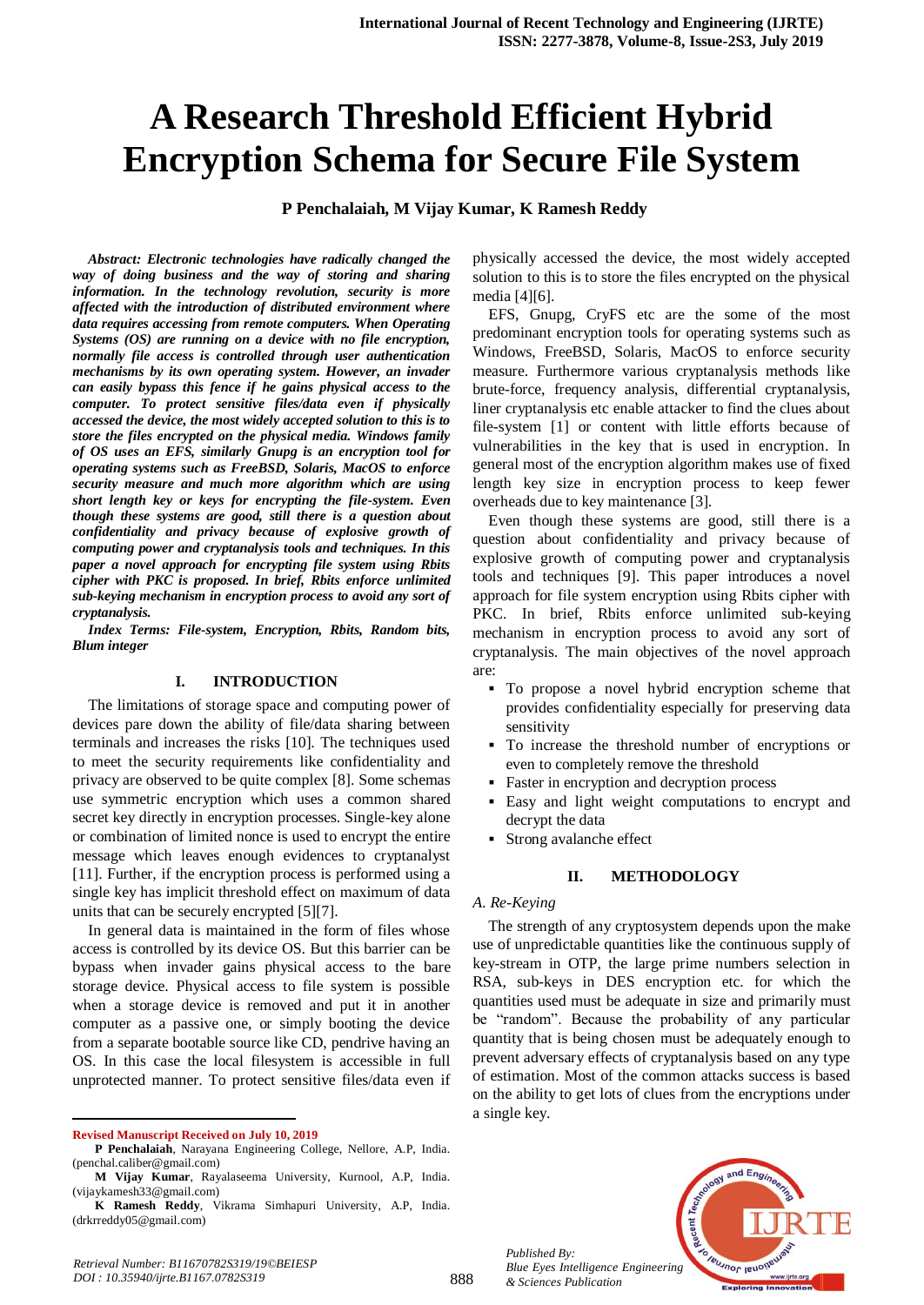# **A Research Threshold Efficient Hybrid Encryption Schema for Secure File System**

**P Penchalaiah, M Vijay Kumar, K Ramesh Reddy**

*Abstract: Electronic technologies have radically changed the way of doing business and the way of storing and sharing information. In the technology revolution, security is more affected with the introduction of distributed environment where data requires accessing from remote computers. When Operating Systems (OS) are running on a device with no file encryption, normally file access is controlled through user authentication mechanisms by its own operating system. However, an invader can easily bypass this fence if he gains physical access to the computer. To protect sensitive files/data even if physically accessed the device, the most widely accepted solution to this is to store the files encrypted on the physical media. Windows family of OS uses an EFS, similarly Gnupg is an encryption tool for operating systems such as FreeBSD, Solaris, MacOS to enforce security measure and much more algorithm which are using short length key or keys for encrypting the file-system. Even though these systems are good, still there is a question about confidentiality and privacy because of explosive growth of computing power and cryptanalysis tools and techniques. In this paper a novel approach for encrypting file system using Rbits cipher with PKC is proposed. In brief, Rbits enforce unlimited sub-keying mechanism in encryption process to avoid any sort of cryptanalysis.*

*Index Terms: File-system, Encryption, Rbits, Random bits, Blum integer*

#### **I. INTRODUCTION**

The limitations of storage space and computing power of devices pare down the ability of file/data sharing between terminals and increases the risks [10]. The techniques used to meet the security requirements like confidentiality and privacy are observed to be quite complex [8]. Some schemas use symmetric encryption which uses a common shared secret key directly in encryption processes. Single-key alone or combination of limited nonce is used to encrypt the entire message which leaves enough evidences to cryptanalyst [11]. Further, if the encryption process is performed using a single key has implicit threshold effect on maximum of data units that can be securely encrypted [5][7].

In general data is maintained in the form of files whose access is controlled by its device OS. But this barrier can be bypass when invader gains physical access to the bare storage device. Physical access to file system is possible when a storage device is removed and put it in another computer as a passive one, or simply booting the device from a separate bootable source like CD, pendrive having an OS. In this case the local filesystem is accessible in full unprotected manner. To protect sensitive files/data even if

 $\overline{a}$ 

physically accessed the device, the most widely accepted solution to this is to store the files encrypted on the physical media [4][6].

EFS, Gnupg, CryFS etc are the some of the most predominant encryption tools for operating systems such as Windows, FreeBSD, Solaris, MacOS to enforce security measure. Furthermore various cryptanalysis methods like brute-force, frequency analysis, differential cryptanalysis, liner cryptanalysis etc enable attacker to find the clues about file-system [1] or content with little efforts because of vulnerabilities in the key that is used in encryption. In general most of the encryption algorithm makes use of fixed length key size in encryption process to keep fewer overheads due to key maintenance [3].

Even though these systems are good, still there is a question about confidentiality and privacy because of explosive growth of computing power and cryptanalysis tools and techniques [9]. This paper introduces a novel approach for file system encryption using Rbits cipher with PKC. In brief, Rbits enforce unlimited sub-keying mechanism in encryption process to avoid any sort of cryptanalysis. The main objectives of the novel approach are:

- To propose a novel hybrid encryption scheme that provides confidentiality especially for preserving data sensitivity
- To increase the threshold number of encryptions or even to completely remove the threshold
- Faster in encryption and decryption process
- Easy and light weight computations to encrypt and decrypt the data
- Strong avalanche effect

## **II. METHODOLOGY**

#### *A. Re-Keying*

The strength of any cryptosystem depends upon the make use of unpredictable quantities like the continuous supply of key-stream in OTP, the large prime numbers selection in RSA, sub-keys in DES encryption etc. for which the quantities used must be adequate in size and primarily must be "random". Because the probability of any particular quantity that is being chosen must be adequately enough to prevent adversary effects of cryptanalysis based on any type of estimation. Most of the common attacks success is based on the ability to get lots of clues from the encryptions under a single key.





**Revised Manuscript Received on July 10, 2019**

**P Penchalaiah**, Narayana Engineering College, Nellore, A.P, India. (penchal.caliber@gmail.com)

**M Vijay Kumar**, Rayalaseema University, Kurnool, A.P, India. (vijaykamesh33@gmail.com)

**K Ramesh Reddy**, Vikrama Simhapuri University, A.P, India. (drkrreddy05@gmail.com)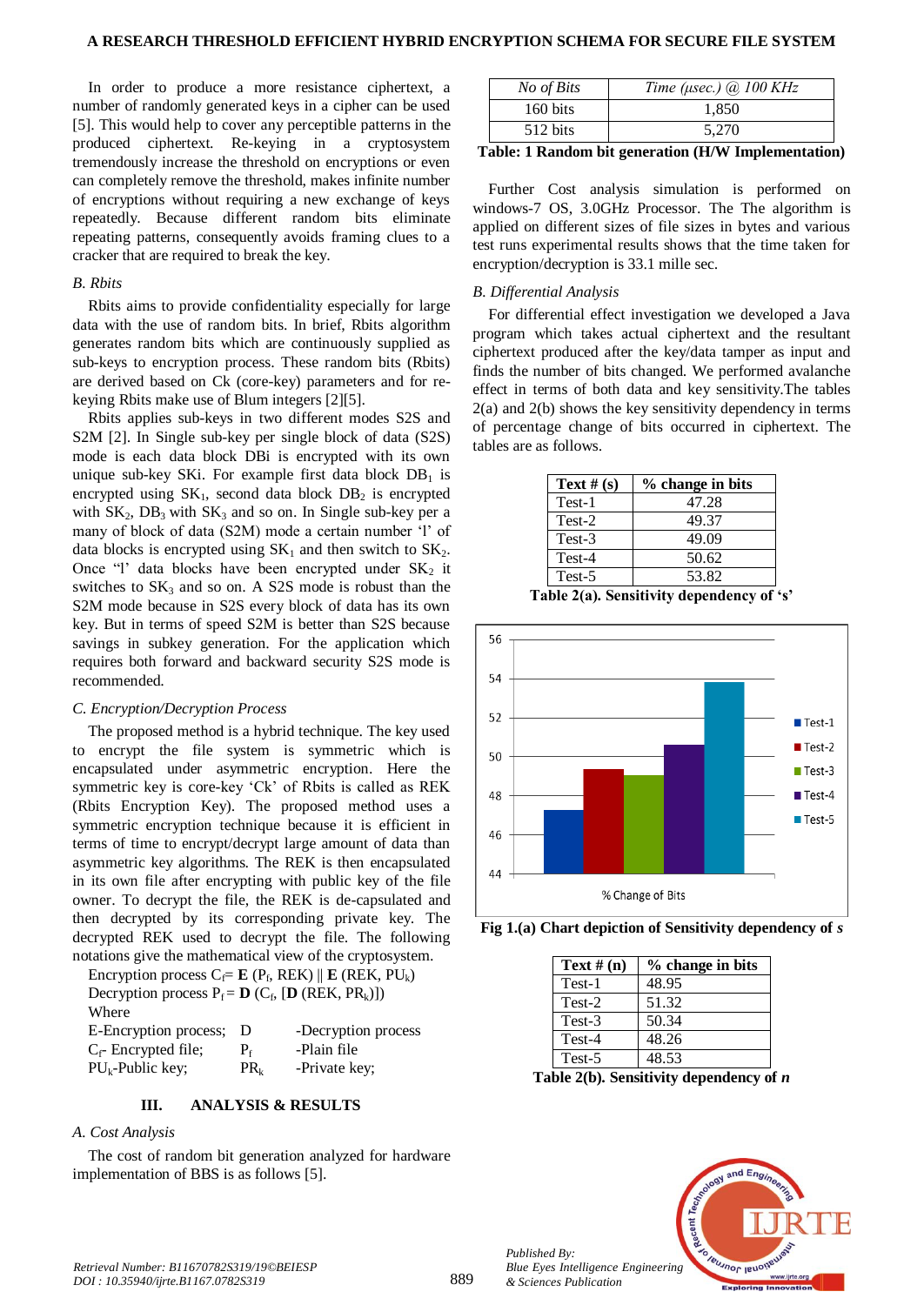In order to produce a more resistance ciphertext, a number of randomly generated keys in a cipher can be used [5]. This would help to cover any perceptible patterns in the produced ciphertext. Re-keying in a cryptosystem tremendously increase the threshold on encryptions or even can completely remove the threshold, makes infinite number of encryptions without requiring a new exchange of keys repeatedly. Because different random bits eliminate repeating patterns, consequently avoids framing clues to a cracker that are required to break the key.

## *B. Rbits*

Rbits aims to provide confidentiality especially for large data with the use of random bits. In brief, Rbits algorithm generates random bits which are continuously supplied as sub-keys to encryption process. These random bits (Rbits) are derived based on Ck (core-key) parameters and for rekeying Rbits make use of Blum integers [2][5].

Rbits applies sub-keys in two different modes S2S and S2M [2]. In Single sub-key per single block of data (S2S) mode is each data block DBi is encrypted with its own unique sub-key SKi. For example first data block  $DB<sub>1</sub>$  is encrypted using  $SK_1$ , second data block  $DB_2$  is encrypted with  $SK_2$ ,  $DB_3$  with  $SK_3$  and so on. In Single sub-key per a many of block of data (S2M) mode a certain number 'l' of data blocks is encrypted using  $SK_1$  and then switch to  $SK_2$ . Once "l' data blocks have been encrypted under  $SK<sub>2</sub>$  it switches to  $SK_3$  and so on. A S2S mode is robust than the S2M mode because in S2S every block of data has its own key. But in terms of speed S2M is better than S2S because savings in subkey generation. For the application which requires both forward and backward security S2S mode is recommended.

#### *C. Encryption/Decryption Process*

The proposed method is a hybrid technique. The key used to encrypt the file system is symmetric which is encapsulated under asymmetric encryption. Here the symmetric key is core-key 'Ck' of Rbits is called as REK (Rbits Encryption Key). The proposed method uses a symmetric encryption technique because it is efficient in terms of time to encrypt/decrypt large amount of data than asymmetric key algorithms. The REK is then encapsulated in its own file after encrypting with public key of the file owner. To decrypt the file, the REK is de-capsulated and then decrypted by its corresponding private key. The decrypted REK used to decrypt the file. The following notations give the mathematical view of the cryptosystem.

| Encryption process $C_f = \mathbf{E} (P_f, REK) \parallel \mathbf{E} (REK, PU_k)$ |          |                     |  |  |
|-----------------------------------------------------------------------------------|----------|---------------------|--|--|
| Decryption process $P_f = \mathbf{D} (C_f, [\mathbf{D} (REK, PR_k)])$             |          |                     |  |  |
| Where                                                                             |          |                     |  |  |
| E-Encryption process;                                                             | D        | -Decryption process |  |  |
| $C_f$ - Encrypted file;                                                           | $P_{f}$  | -Plain file         |  |  |
| $PU_k$ -Public key;                                                               | $PR_{k}$ | -Private key;       |  |  |

# **III. ANALYSIS & RESULTS**

#### *A. Cost Analysis*

The cost of random bit generation analyzed for hardware implementation of BBS is as follows [5].

| No of Bits         | Time ( $\mu$ sec.) (a) 100 KHz |
|--------------------|--------------------------------|
| 160 bits           | 1.850                          |
| $512 \text{ bits}$ | 5.270                          |

**Table: 1 Random bit generation (H/W Implementation)**

Further Cost analysis simulation is performed on windows-7 OS, 3.0GHz Processor. The The algorithm is applied on different sizes of file sizes in bytes and various test runs experimental results shows that the time taken for encryption/decryption is 33.1 mille sec.

# *B. Differential Analysis*

For differential effect investigation we developed a Java program which takes actual ciphertext and the resultant ciphertext produced after the key/data tamper as input and finds the number of bits changed. We performed avalanche effect in terms of both data and key sensitivity.The tables 2(a) and 2(b) shows the key sensitivity dependency in terms of percentage change of bits occurred in ciphertext. The tables are as follows.

| Text # $(s)$ | % change in bits |
|--------------|------------------|
| Test-1       | 47.28            |
| Test-2       | 49.37            |
| Test-3       | 49.09            |
| Test-4       | 50.62            |
| Test-5       | 53.82            |

**Table 2(a). Sensitivity dependency of 's'**



**Fig 1.(a) Chart depiction of Sensitivity dependency of** *s*

| Text $# (n)$ | % change in bits |
|--------------|------------------|
| Test-1       | 48.95            |
| Test-2       | 51.32            |
| Test-3       | 50.34            |
| Test-4       | 48.26            |
| Test-5       | 48.53            |
|              |                  |

**Table 2(b). Sensitivity dependency of** *n*



*Published By:*

*& Sciences Publication*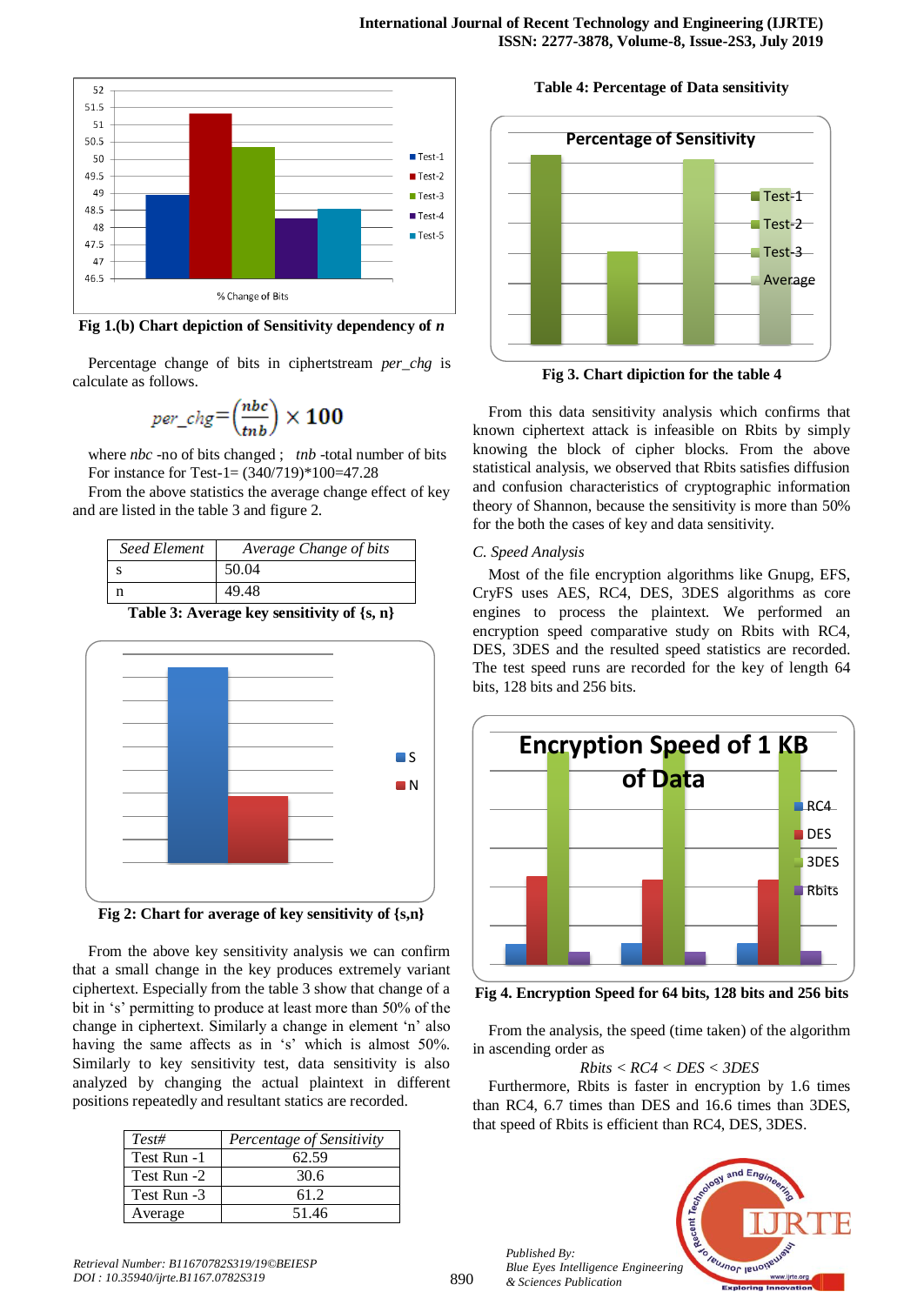

**Fig 1.(b) Chart depiction of Sensitivity dependency of** *n*

Percentage change of bits in ciphertstream *per\_chg* is calculate as follows.

$$
per\_chg = \left(\frac{nb}{tnb}\right) \times 100
$$

where *nbc* -no of bits changed ; *tnb* -total number of bits For instance for Test-1= (340/719)\*100=47.28

From the above statistics the average change effect of key and are listed in the table 3 and figure 2.

| <b>Seed Element</b> | Average Change of bits |
|---------------------|------------------------|
|                     | 50.04                  |
|                     | 49.48                  |





**Fig 2: Chart for average of key sensitivity of {s,n}**

From the above key sensitivity analysis we can confirm that a small change in the key produces extremely variant ciphertext. Especially from the table 3 show that change of a bit in 's' permitting to produce at least more than 50% of the change in ciphertext. Similarly a change in element 'n' also having the same affects as in 's' which is almost 50%. Similarly to key sensitivity test, data sensitivity is also analyzed by changing the actual plaintext in different positions repeatedly and resultant statics are recorded.

| $Test\#$    | Percentage of Sensitivity |
|-------------|---------------------------|
| Test Run -1 | 62.59                     |
| Test Run -2 | 30.6                      |
| Test Run -3 | 61.2                      |
| Average     | 51.46                     |

**Table 4: Percentage of Data sensitivity**



**Fig 3. Chart dipiction for the table 4**

From this data sensitivity analysis which confirms that known ciphertext attack is infeasible on Rbits by simply knowing the block of cipher blocks. From the above statistical analysis, we observed that Rbits satisfies diffusion and confusion characteristics of cryptographic information theory of Shannon, because the sensitivity is more than 50% for the both the cases of key and data sensitivity.

## *C. Speed Analysis*

Most of the file encryption algorithms like Gnupg, EFS, CryFS uses AES, RC4, DES, 3DES algorithms as core engines to process the plaintext. We performed an encryption speed comparative study on Rbits with RC4, DES, 3DES and the resulted speed statistics are recorded. The test speed runs are recorded for the key of length 64 bits, 128 bits and 256 bits.



**Fig 4. Encryption Speed for 64 bits, 128 bits and 256 bits**

From the analysis, the speed (time taken) of the algorithm in ascending order as

# *Rbits < RC4 < DES < 3DES*

Furthermore, Rbits is faster in encryption by 1.6 times than RC4, 6.7 times than DES and 16.6 times than 3DES, that speed of Rbits is efficient than RC4, DES, 3DES.



*Published By:*

*& Sciences Publication*